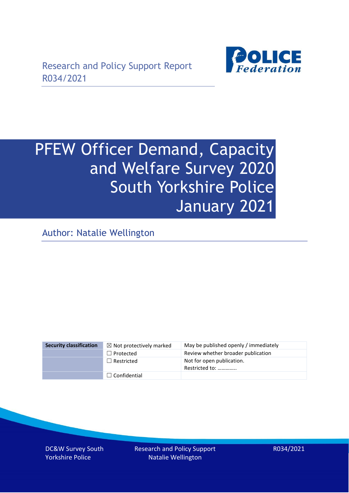

# PFEW Officer Demand, Capacity and Welfare Survey 2020 South Yorkshire Police January 2021

Author: Natalie Wellington

| <b>Security classification</b> | $\boxtimes$ Not protectively marked | May be published openly / immediately       |
|--------------------------------|-------------------------------------|---------------------------------------------|
|                                | $\Box$ Protected                    | Review whether broader publication          |
|                                | $\Box$ Restricted                   | Not for open publication.<br>Restricted to: |
|                                | $\Box$ Confidential                 |                                             |

DC&W Survey South Yorkshire Police

Research and Policy Support Natalie Wellington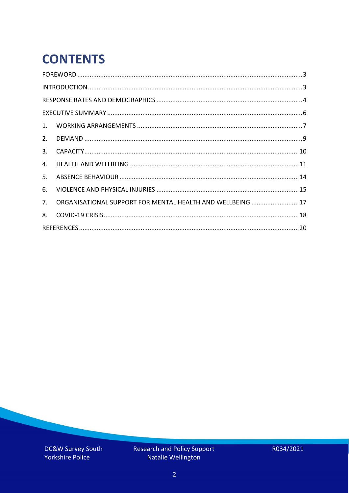# **CONTENTS**

| 4.          |                                                            |  |
|-------------|------------------------------------------------------------|--|
| 5.          |                                                            |  |
| 6.          |                                                            |  |
| $7_{\cdot}$ | ORGANISATIONAL SUPPORT FOR MENTAL HEALTH AND WELLBEING  17 |  |
| 8.          |                                                            |  |
|             |                                                            |  |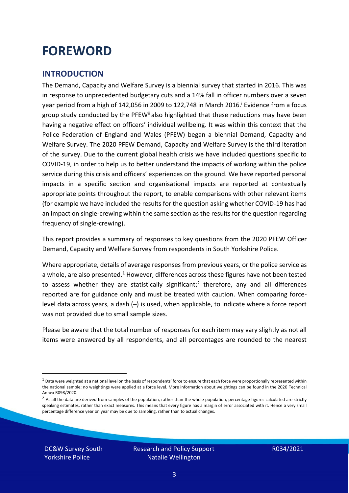### <span id="page-2-0"></span>**FOREWORD**

#### <span id="page-2-1"></span>**INTRODUCTION**

The Demand, Capacity and Welfare Survey is a biennial survey that started in 2016. This was in response to unprecedented budgetary cuts and a 14% fall in officer numbers over a seven year period from a high of 142,056 in 2009 to 122,748 in March 2016. <sup>i</sup> Evidence from a focus group study conducted by the PFEW<sup>ii</sup> also highlighted that these reductions may have been having a negative effect on officers' individual wellbeing. It was within this context that the Police Federation of England and Wales (PFEW) began a biennial Demand, Capacity and Welfare Survey. The 2020 PFEW Demand, Capacity and Welfare Survey is the third iteration of the survey. Due to the current global health crisis we have included questions specific to COVID-19, in order to help us to better understand the impacts of working within the police service during this crisis and officers' experiences on the ground. We have reported personal impacts in a specific section and organisational impacts are reported at contextually appropriate points throughout the report, to enable comparisons with other relevant items (for example we have included the results for the question asking whether COVID-19 has had an impact on single-crewing within the same section as the results for the question regarding frequency of single-crewing).

This report provides a summary of responses to key questions from the 2020 PFEW Officer Demand, Capacity and Welfare Survey from respondents in South Yorkshire Police.

Where appropriate, details of average responses from previous years, or the police service as a whole, are also presented.<sup>1</sup> However, differences across these figures have not been tested to assess whether they are statistically significant;<sup>2</sup> therefore, any and all differences reported are for guidance only and must be treated with caution. When comparing forcelevel data across years, a dash (–) is used, when applicable, to indicate where a force report was not provided due to small sample sizes.

Please be aware that the total number of responses for each item may vary slightly as not all items were answered by all respondents, and all percentages are rounded to the nearest

DC&W Survey South Yorkshire Police

 $1$  Data were weighted at a national level on the basis of respondents' force to ensure that each force were proportionally represented within the national sample; no weightings were applied at a force level. More information about weightings can be found in the 2020 Technical Annex R098/2020.

 $2$  As all the data are derived from samples of the population, rather than the whole population, percentage figures calculated are strictly speaking estimates, rather than exact measures. This means that every figure has a margin of error associated with it. Hence a very small percentage difference year on year may be due to sampling, rather than to actual changes.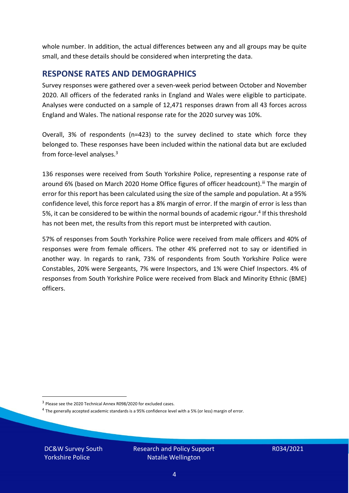whole number. In addition, the actual differences between any and all groups may be quite small, and these details should be considered when interpreting the data.

#### <span id="page-3-0"></span>**RESPONSE RATES AND DEMOGRAPHICS**

Survey responses were gathered over a seven-week period between October and November 2020. All officers of the federated ranks in England and Wales were eligible to participate. Analyses were conducted on a sample of 12,471 responses drawn from all 43 forces across England and Wales. The national response rate for the 2020 survey was 10%.

Overall, 3% of respondents (n=423) to the survey declined to state which force they belonged to. These responses have been included within the national data but are excluded from force-level analyses.<sup>3</sup>

136 responses were received from South Yorkshire Police, representing a response rate of around 6% (based on March 2020 Home Office figures of officer headcount). III The margin of error for this report has been calculated using the size of the sample and population. At a 95% confidence level, this force report has a 8% margin of error. If the margin of error is less than 5%, it can be considered to be within the normal bounds of academic rigour.<sup>4</sup> If this threshold has not been met, the results from this report must be interpreted with caution.

57% of responses from South Yorkshire Police were received from male officers and 40% of responses were from female officers. The other 4% preferred not to say or identified in another way. In regards to rank, 73% of respondents from South Yorkshire Police were Constables, 20% were Sergeants, 7% were Inspectors, and 1% were Chief Inspectors. 4% of responses from South Yorkshire Police were received from Black and Minority Ethnic (BME) officers.

DC&W Survey South Yorkshire Police

<sup>&</sup>lt;sup>3</sup> Please see the 2020 Technical Annex R098/2020 for excluded cases.

<sup>&</sup>lt;sup>4</sup> The generally accepted academic standards is a 95% confidence level with a 5% (or less) margin of error.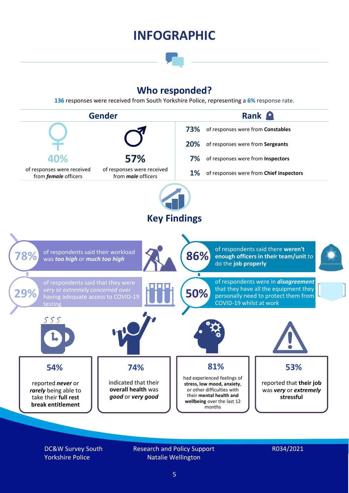### **INFOGRAPHIC**

### **Who responded?**

**136** responses were received from South Yorkshire Police, representing a **6%** response rate.



DC&W Survey South Yorkshire Police

Research and Policy Support Natalie Wellington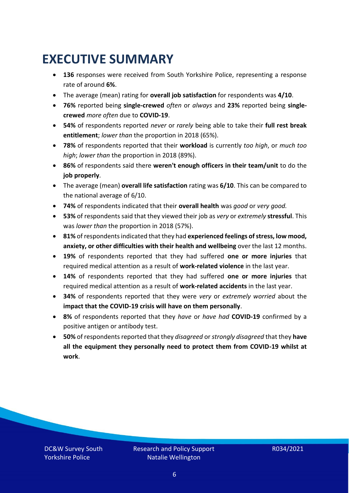### <span id="page-5-0"></span>**EXECUTIVE SUMMARY**

- **136** responses were received from South Yorkshire Police, representing a response rate of around **6%**.
- The average (mean) rating for **overall job satisfaction** for respondents was **4/10**.
- **76%** reported being **single-crewed** *often* or *always* and **23%** reported being **singlecrewed** *more often* due to **COVID-19**.
- **54%** of respondents reported *never* or *rarely* being able to take their **full rest break entitlement**; *lower than* the proportion in 2018 (65%).
- **78%** of respondents reported that their **workload** is currently *too high*, or *much too high*; *lower than* the proportion in 2018 (89%).
- **86%** of respondents said there **weren't enough officers in their team/unit** to do the **job properly**.
- The average (mean) **overall life satisfaction** rating was **6/10**. This can be compared to the national average of 6/10.
- **74%** of respondents indicated that their **overall health** was *good* or *very good.*
- **53%** of respondents said that they viewed their job as *very* or *extremely* **stressful**. This was *lower than* the proportion in 2018 (57%).
- **81%** of respondents indicated that they had **experienced feelings of stress, low mood, anxiety, or other difficulties with their health and wellbeing** over the last 12 months.
- **19%** of respondents reported that they had suffered **one or more injuries** that required medical attention as a result of **work-related violence** in the last year.
- **14%** of respondents reported that they had suffered **one or more injuries** that required medical attention as a result of **work-related accidents** in the last year.
- **34%** of respondents reported that they were *very* or *extremely worried* about the **impact that the COVID-19 crisis will have on them personally**.
- **8%** of respondents reported that they *have* or *have had* **COVID-19** confirmed by a positive antigen or antibody test.
- **50%** of respondents reported that they *disagreed* or *strongly disagreed* that they **have all the equipment they personally need to protect them from COVID-19 whilst at work**.

DC&W Survey South Yorkshire Police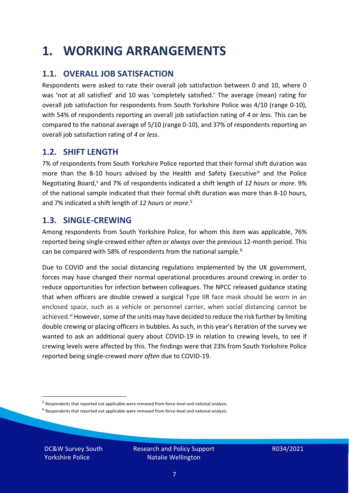### <span id="page-6-0"></span>**1. WORKING ARRANGEMENTS**

### **1.1. OVERALL JOB SATISFACTION**

Respondents were asked to rate their overall job satisfaction between 0 and 10, where 0 was 'not at all satisfied' and 10 was 'completely satisfied.' The average (mean) rating for overall job satisfaction for respondents from South Yorkshire Police was 4/10 (range 0-10), with 54% of respondents reporting an overall job satisfaction rating of *4* or *less*. This can be compared to the national average of 5/10 (range 0-10), and 37% of respondents reporting an overall job satisfaction rating of *4* or *less*.

### **1.2. SHIFT LENGTH**

7% of respondents from South Yorkshire Police reported that their formal shift duration was more than the 8-10 hours advised by the Health and Safety Executive<sup>iv</sup> and the Police Negotiating Board,<sup>v</sup> and 7% of respondents indicated a shift length of 12 hours or *more*. 9% of the national sample indicated that their formal shift duration was more than 8-10 hours, and 7% indicated a shift length of *12 hours* or *more*. 5

#### **1.3. SINGLE-CREWING**

Among respondents from South Yorkshire Police, for whom this item was applicable, 76% reported being single-crewed either *often* or *always* over the previous 12-month period. This can be compared with 58% of respondents from the national sample.<sup>6</sup>

Due to COVID and the social distancing regulations implemented by the UK government, forces may have changed their normal operational procedures around crewing in order to reduce opportunities for infection between colleagues. The NPCC released guidance stating that when officers are double crewed a surgical Type IIR face mask should be worn in an enclosed space, such as a vehicle or personnel carrier, when social distancing cannot be achieved.<sup>vi</sup> However, some of the units may have decided to reduce the risk further by limiting double crewing or placing officers in bubbles. As such, in this year's iteration of the survey we wanted to ask an additional query about COVID-19 in relation to crewing levels, to see if crewing levels were affected by this. The findings were that 23% from South Yorkshire Police reported being single-crewed *more often* due to COVID-19.

 $<sup>6</sup>$  Respondents that reported not applicable were removed from force-level and national analysis.</sup>

DC&W Survey South Yorkshire Police

<sup>&</sup>lt;sup>5</sup> Respondents that reported not applicable were removed from force-level and national analysis.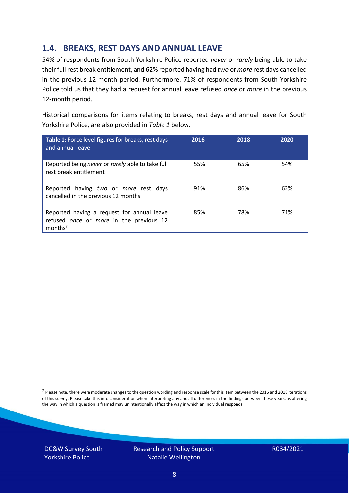### **1.4. BREAKS, REST DAYS AND ANNUAL LEAVE**

54% of respondents from South Yorkshire Police reported *never* or *rarely* being able to take their full rest break entitlement, and 62% reported having had *two* or *more* rest days cancelled in the previous 12-month period. Furthermore, 71% of respondents from South Yorkshire Police told us that they had a request for annual leave refused *once* or *more* in the previous 12-month period.

Historical comparisons for items relating to breaks, rest days and annual leave for South Yorkshire Police, are also provided in *Table 1* below.

| Table 1: Force level figures for breaks, rest days<br>and annual leave                                       | 2016 | 2018 | 2020 |
|--------------------------------------------------------------------------------------------------------------|------|------|------|
| Reported being never or rarely able to take full<br>rest break entitlement                                   | 55%  | 65%  | 54%  |
| Reported having two or more rest days<br>cancelled in the previous 12 months                                 | 91%  | 86%  | 62%  |
| Reported having a request for annual leave<br>refused once or more in the previous 12<br>months <sup>7</sup> | 85%  | 78%  | 71%  |

DC&W Survey South Yorkshire Police



<sup>&</sup>lt;sup>7</sup> Please note, there were moderate changes to the question wording and response scale for this item between the 2016 and 2018 iterations of this survey. Please take this into consideration when interpreting any and all differences in the findings between these years, as altering the way in which a question is framed may unintentionally affect the way in which an individual responds.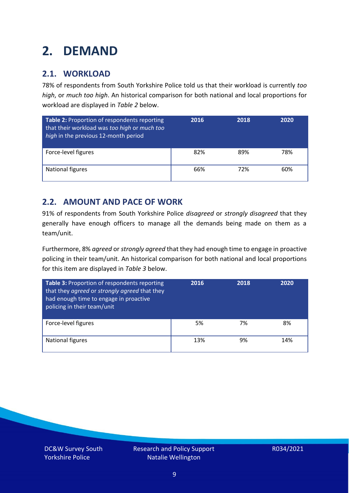### <span id="page-8-0"></span>**2. DEMAND**

### **2.1. WORKLOAD**

78% of respondents from South Yorkshire Police told us that their workload is currently *too high*, or *much too high*. An historical comparison for both national and local proportions for workload are displayed in *Table 2* below.

| Table 2: Proportion of respondents reporting<br>that their workload was too high or much too<br>high in the previous 12-month period | 2016 | 2018 | 2020 |
|--------------------------------------------------------------------------------------------------------------------------------------|------|------|------|
| Force-level figures                                                                                                                  | 82%  | 89%  | 78%  |
| National figures                                                                                                                     | 66%  | 72%  | 60%  |

### **2.2. AMOUNT AND PACE OF WORK**

91% of respondents from South Yorkshire Police *disagreed* or *strongly disagreed* that they generally have enough officers to manage all the demands being made on them as a team/unit.

Furthermore, 8% *agreed* or *strongly agreed* that they had enough time to engage in proactive policing in their team/unit. An historical comparison for both national and local proportions for this item are displayed in *Table 3* below.

| Table 3: Proportion of respondents reporting<br>that they agreed or strongly agreed that they<br>had enough time to engage in proactive<br>policing in their team/unit | 2016 | 2018 | 2020 |
|------------------------------------------------------------------------------------------------------------------------------------------------------------------------|------|------|------|
| Force-level figures                                                                                                                                                    | 5%   | 7%   | 8%   |
| <b>National figures</b>                                                                                                                                                | 13%  | 9%   | 14%  |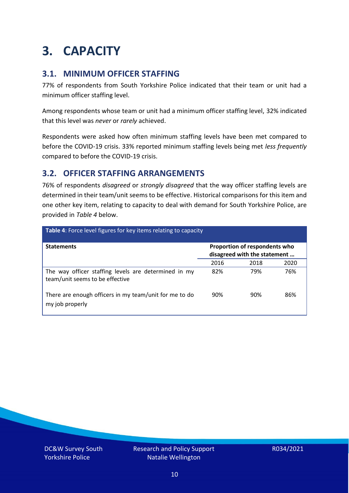### <span id="page-9-0"></span>**3. CAPACITY**

### **3.1. MINIMUM OFFICER STAFFING**

77% of respondents from South Yorkshire Police indicated that their team or unit had a minimum officer staffing level.

Among respondents whose team or unit had a minimum officer staffing level, 32% indicated that this level was *never* or *rarely* achieved.

Respondents were asked how often minimum staffing levels have been met compared to before the COVID-19 crisis. 33% reported minimum staffing levels being met *less frequently* compared to before the COVID-19 crisis.

### **3.2. OFFICER STAFFING ARRANGEMENTS**

76% of respondents *disagreed* or *strongly disagreed* that the way officer staffing levels are determined in their team/unit seems to be effective. Historical comparisons for this item and one other key item, relating to capacity to deal with demand for South Yorkshire Police, are provided in *Table 4* below.

| <b>Table 4:</b> Force level figures for key items relating to capacity                  |                                                               |      |      |  |
|-----------------------------------------------------------------------------------------|---------------------------------------------------------------|------|------|--|
| <b>Statements</b>                                                                       | Proportion of respondents who<br>disagreed with the statement |      |      |  |
|                                                                                         | 2016                                                          | 2018 | 2020 |  |
| The way officer staffing levels are determined in my<br>team/unit seems to be effective | 82%                                                           | 79%  | 76%  |  |
| There are enough officers in my team/unit for me to do<br>my job properly               | 90%                                                           | 90%  | 86%  |  |

DC&W Survey South Yorkshire Police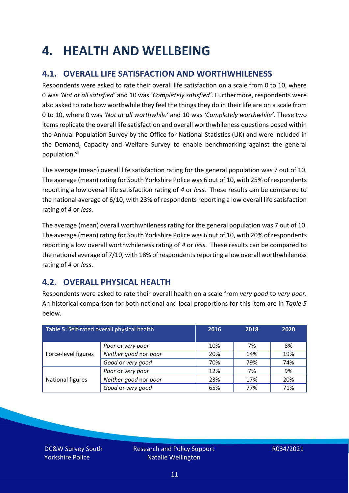### <span id="page-10-0"></span>**4. HEALTH AND WELLBEING**

### **4.1. OVERALL LIFE SATISFACTION AND WORTHWHILENESS**

Respondents were asked to rate their overall life satisfaction on a scale from 0 to 10, where 0 was *'Not at all satisfied'* and 10 was *'Completely satisfied'*. Furthermore, respondents were also asked to rate how worthwhile they feel the things they do in their life are on a scale from 0 to 10, where 0 was *'Not at all worthwhile'* and 10 was *'Completely worthwhile'.* These two items replicate the overall life satisfaction and overall worthwhileness questions posed within the Annual Population Survey by the Office for National Statistics (UK) and were included in the Demand, Capacity and Welfare Survey to enable benchmarking against the general population. vii

The average (mean) overall life satisfaction rating for the general population was 7 out of 10. The average (mean) rating for South Yorkshire Police was 6 out of 10, with 25% of respondents reporting a low overall life satisfaction rating of *4* or *less*. These results can be compared to the national average of 6/10, with 23% of respondents reporting a low overall life satisfaction rating of *4* or *less*.

The average (mean) overall worthwhileness rating for the general population was 7 out of 10. The average (mean) rating for South Yorkshire Police was 6 out of 10, with 20% of respondents reporting a low overall worthwhileness rating of *4* or *less*. These results can be compared to the national average of 7/10, with 18% of respondents reporting a low overall worthwhileness rating of *4* or *less*.

### **4.2. OVERALL PHYSICAL HEALTH**

Respondents were asked to rate their overall health on a scale from *very good* to *very poor*. An historical comparison for both national and local proportions for this item are in *Table 5* below.

|                     | Table 5: Self-rated overall physical health<br>2016 |     | 2018 | 2020 |
|---------------------|-----------------------------------------------------|-----|------|------|
|                     | Poor or very poor                                   | 10% | 7%   | 8%   |
| Force-level figures | Neither good nor poor                               | 20% | 14%  | 19%  |
|                     | Good or very good                                   | 70% | 79%  | 74%  |
|                     | Poor or very poor                                   | 12% | 7%   | 9%   |
| National figures    | Neither good nor poor                               | 23% | 17%  | 20%  |
|                     | Good or very good                                   | 65% | 77%  | 71%  |

DC&W Survey South Yorkshire Police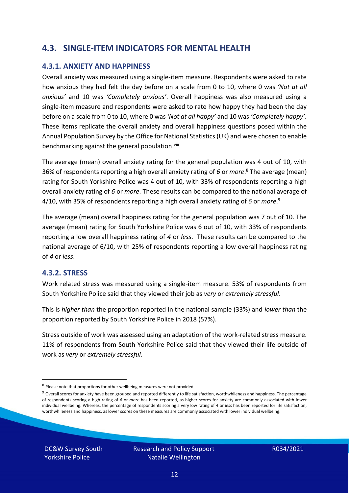### **4.3. SINGLE-ITEM INDICATORS FOR MENTAL HEALTH**

#### **4.3.1. ANXIETY AND HAPPINESS**

Overall anxiety was measured using a single-item measure. Respondents were asked to rate how anxious they had felt the day before on a scale from 0 to 10, where 0 was *'Not at all anxious'* and 10 was *'Completely anxious'*. Overall happiness was also measured using a single-item measure and respondents were asked to rate how happy they had been the day before on a scale from 0 to 10, where 0 was *'Not at all happy'* and 10 was *'Completely happy'*. These items replicate the overall anxiety and overall happiness questions posed within the Annual Population Survey by the Office for National Statistics (UK) and were chosen to enable benchmarking against the general population.<sup>viii</sup>

The average (mean) overall anxiety rating for the general population was 4 out of 10, with 36% of respondents reporting a high overall anxiety rating of *6* or *more*. <sup>8</sup> The average (mean) rating for South Yorkshire Police was 4 out of 10, with 33% of respondents reporting a high overall anxiety rating of *6* or *more*. These results can be compared to the national average of 4/10, with 35% of respondents reporting a high overall anxiety rating of *6* or *more*. 9

The average (mean) overall happiness rating for the general population was 7 out of 10. The average (mean) rating for South Yorkshire Police was 6 out of 10, with 33% of respondents reporting a low overall happiness rating of *4* or *less*. These results can be compared to the national average of 6/10, with 25% of respondents reporting a low overall happiness rating of *4* or *less*.

#### **4.3.2. STRESS**

Work related stress was measured using a single-item measure. 53% of respondents from South Yorkshire Police said that they viewed their job as *very* or *extremely stressful*.

This is *higher than* the proportion reported in the national sample (33%) and *lower than* the proportion reported by South Yorkshire Police in 2018 (57%).

Stress outside of work was assessed using an adaptation of the work-related stress measure. 11% of respondents from South Yorkshire Police said that they viewed their life outside of work as *very* or *extremely stressful*.

DC&W Survey South Yorkshire Police

<sup>&</sup>lt;sup>8</sup> Please note that proportions for other wellbeing measures were not provided

 $9$  Overall scores for anxiety have been grouped and reported differently to life satisfaction, worthwhileness and happiness. The percentage of respondents scoring a high rating of *6* or *more* has been reported, as higher scores for anxiety are commonly associated with lower individual wellbeing. Whereas, the percentage of respondents scoring a very low rating of *4* or *less* has been reported for life satisfaction, worthwhileness and happiness, as lower scores on these measures are commonly associated with lower individual wellbeing.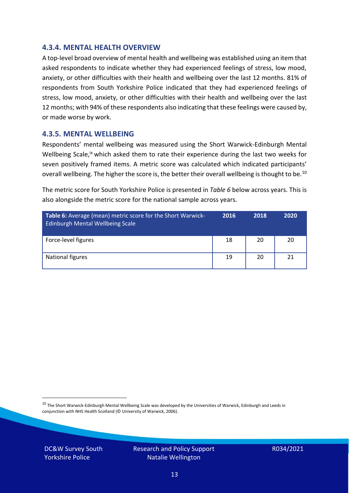#### **4.3.4. MENTAL HEALTH OVERVIEW**

A top-level broad overview of mental health and wellbeing was established using an item that asked respondents to indicate whether they had experienced feelings of stress, low mood, anxiety, or other difficulties with their health and wellbeing over the last 12 months. 81% of respondents from South Yorkshire Police indicated that they had experienced feelings of stress, low mood, anxiety, or other difficulties with their health and wellbeing over the last 12 months; with 94% of these respondents also indicating that these feelings were caused by, or made worse by work.

#### **4.3.5. MENTAL WELLBEING**

Respondents' mental wellbeing was measured using the Short Warwick-Edinburgh Mental Wellbeing Scale,<sup>ix</sup> which asked them to rate their experience during the last two weeks for seven positively framed items. A metric score was calculated which indicated participants' overall wellbeing. The higher the score is, the better their overall wellbeing is thought to be.<sup>10</sup>

The metric score for South Yorkshire Police is presented in *Table 6* below across years. This is also alongside the metric score for the national sample across years.

| <b>Table 6:</b> Average (mean) metric score for the Short Warwick-<br>Edinburgh Mental Wellbeing Scale | 2016 | 2018 | 2020 |
|--------------------------------------------------------------------------------------------------------|------|------|------|
| Force-level figures                                                                                    | 18   | 20   | 20   |
| National figures                                                                                       | 19   | 20   | 21   |

 $10$  The Short Warwick-Edinburgh Mental Wellbeing Scale was developed by the Universities of Warwick, Edinburgh and Leeds in conjunction with NHS Health Scotland (© University of Warwick, 2006).

DC&W Survey South Yorkshire Police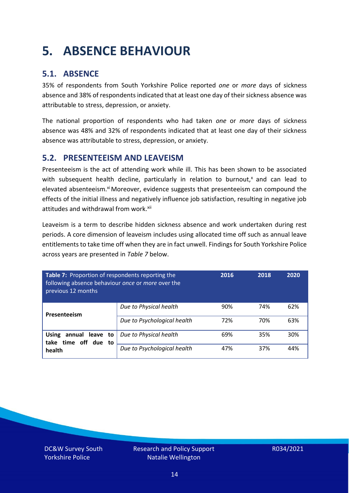### <span id="page-13-0"></span>**5. ABSENCE BEHAVIOUR**

### **5.1. ABSENCE**

35% of respondents from South Yorkshire Police reported *one* or *more* days of sickness absence and 38% of respondents indicated that at least one day of their sickness absence was attributable to stress, depression, or anxiety.

The national proportion of respondents who had taken *one* or *more* days of sickness absence was 48% and 32% of respondents indicated that at least one day of their sickness absence was attributable to stress, depression, or anxiety.

### **5.2. PRESENTEEISM AND LEAVEISM**

Presenteeism is the act of attending work while ill. This has been shown to be associated with subsequent health decline, particularly in relation to burnout, $x$  and can lead to elevated absenteeism.<sup>xi</sup> Moreover, evidence suggests that presenteeism can compound the effects of the initial illness and negatively influence job satisfaction, resulting in negative job attitudes and withdrawal from work.<sup>xii</sup>

Leaveism is a term to describe hidden sickness absence and work undertaken during rest periods. A core dimension of leaveism includes using allocated time off such as annual leave entitlements to take time off when they are in fact unwell. Findings for South Yorkshire Police across years are presented in *Table 7* below.

| Table 7: Proportion of respondents reporting the<br>following absence behaviour once or more over the<br>previous 12 months |                             | 2016 | 2018 | 2020 |
|-----------------------------------------------------------------------------------------------------------------------------|-----------------------------|------|------|------|
| Presenteeism                                                                                                                | Due to Physical health      | 90%  | 74%  | 62%  |
|                                                                                                                             | Due to Psychological health | 72%  | 70%  | 63%  |
| annual leave to<br><b>Using</b><br>time off due to<br>take<br>health                                                        | Due to Physical health      | 69%  | 35%  | 30%  |
|                                                                                                                             | Due to Psychological health | 47%  | 37%  | 44%  |

DC&W Survey South Yorkshire Police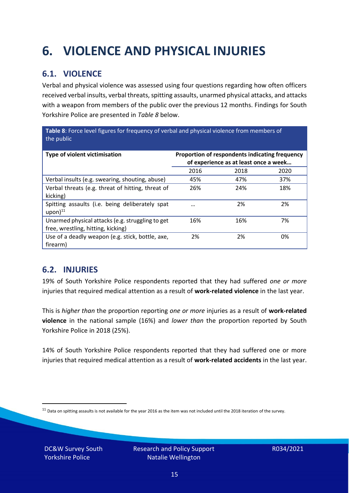## <span id="page-14-0"></span>**6. VIOLENCE AND PHYSICAL INJURIES**

### **6.1. VIOLENCE**

Verbal and physical violence was assessed using four questions regarding how often officers received verbal insults, verbal threats, spitting assaults, unarmed physical attacks, and attacks with a weapon from members of the public over the previous 12 months. Findings for South Yorkshire Police are presented in *Table 8* below.

**Table 8**: Force level figures for frequency of verbal and physical violence from members of the public

| Type of violent victimisation                                                          | Proportion of respondents indicating frequency<br>of experience as at least once a week |      |      |
|----------------------------------------------------------------------------------------|-----------------------------------------------------------------------------------------|------|------|
|                                                                                        | 2016                                                                                    | 2018 | 2020 |
| Verbal insults (e.g. swearing, shouting, abuse)                                        | 45%                                                                                     | 47%  | 37%  |
| Verbal threats (e.g. threat of hitting, threat of<br>kicking)                          | 26%                                                                                     | 24%  | 18%  |
| Spitting assaults (i.e. being deliberately spat<br>$upon)$ <sup>11</sup>               | $\cdots$                                                                                | 2%   | 2%   |
| Unarmed physical attacks (e.g. struggling to get<br>free, wrestling, hitting, kicking) | 16%                                                                                     | 16%  | 7%   |
| Use of a deadly weapon (e.g. stick, bottle, axe,<br>firearm)                           | 2%                                                                                      | 2%   | 0%   |

### **6.2. INJURIES**

19% of South Yorkshire Police respondents reported that they had suffered *one or more* injuries that required medical attention as a result of **work-related violence** in the last year.

This is *higher than* the proportion reporting *one or more* injuries as a result of **work-related violence** in the national sample (16%) and *lower than* the proportion reported by South Yorkshire Police in 2018 (25%).

14% of South Yorkshire Police respondents reported that they had suffered one or more injuries that required medical attention as a result of **work-related accidents** in the last year.

DC&W Survey South Yorkshire Police

 $11$  Data on spitting assaults is not available for the year 2016 as the item was not included until the 2018 iteration of the survey.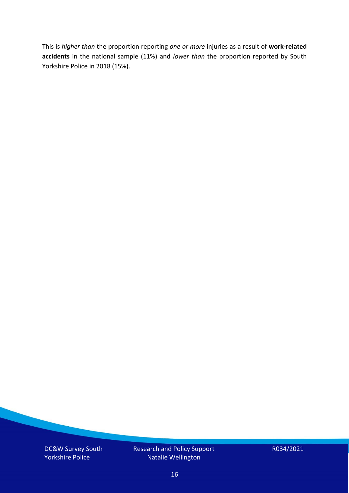This is *higher than* the proportion reporting *one or more* injuries as a result of **work-related accidents** in the national sample (11%) and *lower than* the proportion reported by South Yorkshire Police in 2018 (15%).

DC&W Survey South Yorkshire Police

Research and Policy Support Natalie Wellington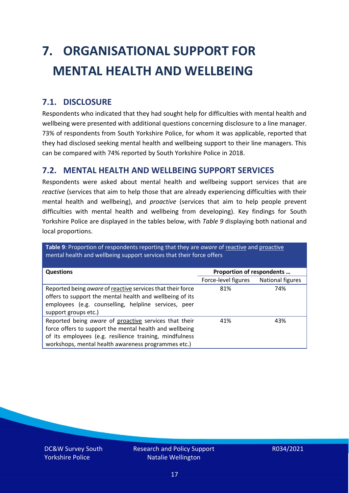# <span id="page-16-0"></span>**7. ORGANISATIONAL SUPPORT FOR MENTAL HEALTH AND WELLBEING**

### **7.1. DISCLOSURE**

Respondents who indicated that they had sought help for difficulties with mental health and wellbeing were presented with additional questions concerning disclosure to a line manager. 73% of respondents from South Yorkshire Police, for whom it was applicable, reported that they had disclosed seeking mental health and wellbeing support to their line managers. This can be compared with 74% reported by South Yorkshire Police in 2018.

#### **7.2. MENTAL HEALTH AND WELLBEING SUPPORT SERVICES**

Respondents were asked about mental health and wellbeing support services that are *reactive* (services that aim to help those that are already experiencing difficulties with their mental health and wellbeing), and *proactive* (services that aim to help people prevent difficulties with mental health and wellbeing from developing). Key findings for South Yorkshire Police are displayed in the tables below, with *Table 9* displaying both national and local proportions.

**Table 9**: Proportion of respondents reporting that they are *aware* of reactive and proactive mental health and wellbeing support services that their force offers

| <b>Questions</b>                                                                                                                                                                                                                   | Proportion of respondents |                  |
|------------------------------------------------------------------------------------------------------------------------------------------------------------------------------------------------------------------------------------|---------------------------|------------------|
|                                                                                                                                                                                                                                    | Force-level figures       | National figures |
| Reported being aware of reactive services that their force<br>offers to support the mental health and wellbeing of its<br>employees (e.g. counselling, helpline services, peer<br>support groups etc.)                             | 81%                       | 74%              |
| Reported being aware of proactive services that their<br>force offers to support the mental health and wellbeing<br>of its employees (e.g. resilience training, mindfulness<br>workshops, mental health awareness programmes etc.) | 41%                       | 43%              |

DC&W Survey South Yorkshire Police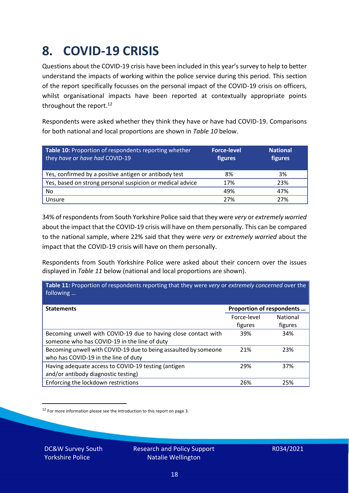### <span id="page-17-0"></span>**8. COVID-19 CRISIS**

Questions about the COVID-19 crisis have been included in this year's survey to help to better understand the impacts of working within the police service during this period. This section of the report specifically focusses on the personal impact of the COVID-19 crisis on officers, whilst organisational impacts have been reported at contextually appropriate points throughout the report.<sup>12</sup>

Respondents were asked whether they think they have or have had COVID-19. Comparisons for both national and local proportions are shown in *Table 10* below.

| Table 10: Proportion of respondents reporting whether<br>they have or have had COVID-19 | <b>Force-level</b><br>figures | <b>National</b><br>figures |
|-----------------------------------------------------------------------------------------|-------------------------------|----------------------------|
| Yes, confirmed by a positive antigen or antibody test                                   | 8%                            | 3%                         |
| Yes, based on strong personal suspicion or medical advice                               | 17%                           | 23%                        |
| No                                                                                      | 49%                           | 47%                        |
| Unsure                                                                                  | 27%                           | 27%                        |

34% of respondents from South Yorkshire Police said that they were *very* or *extremely worried* about the impact that the COVID-19 crisis will have on them personally. This can be compared to the national sample, where 22% said that they were *very* or *extremely worried* about the impact that the COVID-19 crisis will have on them personally.

Respondents from South Yorkshire Police were asked about their concern over the issues displayed in *Table 11* below (national and local proportions are shown).

| Table 11: Proportion of respondents reporting that they were very or extremely concerned over the<br>following |                           |                 |
|----------------------------------------------------------------------------------------------------------------|---------------------------|-----------------|
| <b>Statements</b>                                                                                              | Proportion of respondents |                 |
|                                                                                                                | Force-level               | <b>National</b> |
|                                                                                                                | figures                   | figures         |
| Becoming unwell with COVID-19 due to having close contact with                                                 | 39%                       | 34%             |
| someone who has COVID-19 in the line of duty                                                                   |                           |                 |
| Becoming unwell with COVID-19 due to being assaulted by someone                                                | 21%                       | 23%             |
| who has COVID-19 in the line of duty                                                                           |                           |                 |
| Having adequate access to COVID-19 testing (antigen                                                            | 29%                       | 37%             |
| and/or antibody diagnostic testing)                                                                            |                           |                 |
| Enforcing the lockdown restrictions                                                                            | 26%                       | 25%             |

<sup>12</sup> For more information please see the introduction to this report on page 3.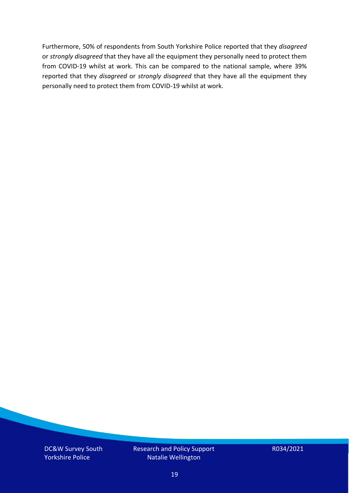Furthermore, 50% of respondents from South Yorkshire Police reported that they *disagreed*  or *strongly disagreed* that they have all the equipment they personally need to protect them from COVID-19 whilst at work. This can be compared to the national sample, where 39% reported that they *disagreed* or *strongly disagreed* that they have all the equipment they personally need to protect them from COVID-19 whilst at work.

DC&W Survey South Yorkshire Police

Research and Policy Support Natalie Wellington